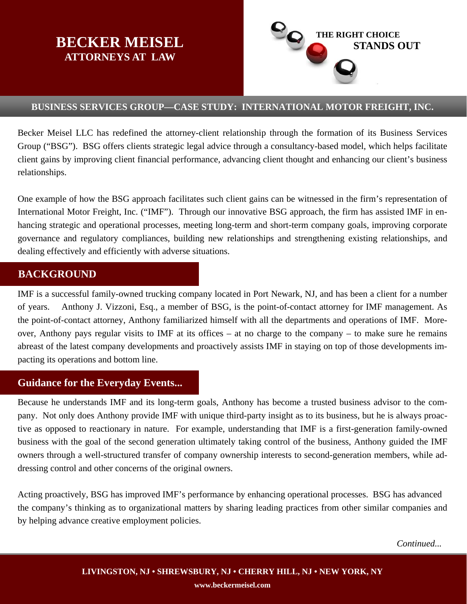# **BECKER MEISEL ATTORNEYS AT LAW**



#### **BUSINESS SERVICES GROUP—CASE STUDY: INTERNATIONAL MOTOR FREIGHT, INC.**

Becker Meisel LLC has redefined the attorney-client relationship through the formation of its Business Services Group ("BSG"). BSG offers clients strategic legal advice through a consultancy-based model, which helps facilitate client gains by improving client financial performance, advancing client thought and enhancing our client's business relationships.

One example of how the BSG approach facilitates such client gains can be witnessed in the firm's representation of International Motor Freight, Inc. ("IMF"). Through our innovative BSG approach, the firm has assisted IMF in enhancing strategic and operational processes, meeting long-term and short-term company goals, improving corporate governance and regulatory compliances, building new relationships and strengthening existing relationships, and dealing effectively and efficiently with adverse situations.

## **BACKGROUND**

IMF is a successful family-owned trucking company located in Port Newark, NJ, and has been a client for a number of years. Anthony J. Vizzoni, Esq., a member of BSG, is the point-of-contact attorney for IMF management. As the point-of-contact attorney, Anthony familiarized himself with all the departments and operations of IMF. Moreover, Anthony pays regular visits to IMF at its offices – at no charge to the company – to make sure he remains abreast of the latest company developments and proactively assists IMF in staying on top of those developments impacting its operations and bottom line.

# **Guidance for the Everyday Events...**

Because he understands IMF and its long-term goals, Anthony has become a trusted business advisor to the company. Not only does Anthony provide IMF with unique third-party insight as to its business, but he is always proactive as opposed to reactionary in nature. For example, understanding that IMF is a first-generation family-owned business with the goal of the second generation ultimately taking control of the business, Anthony guided the IMF owners through a well-structured transfer of company ownership interests to second-generation members, while addressing control and other concerns of the original owners.

Acting proactively, BSG has improved IMF's performance by enhancing operational processes. BSG has advanced the company's thinking as to organizational matters by sharing leading practices from other similar companies and by helping advance creative employment policies.

*Continued...*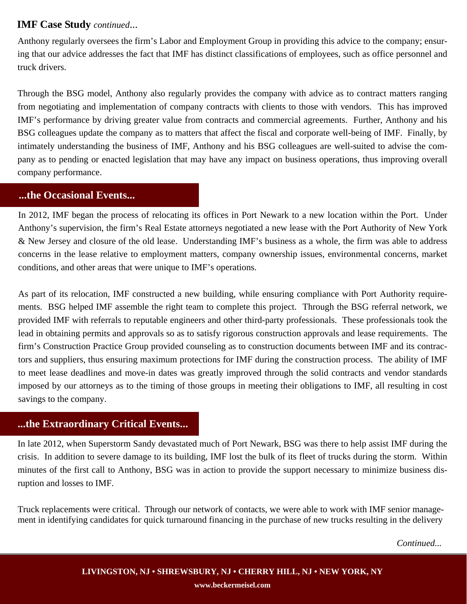## **IMF Case Study** *continued*...

Anthony regularly oversees the firm's Labor and Employment Group in providing this advice to the company; ensuring that our advice addresses the fact that IMF has distinct classifications of employees, such as office personnel and truck drivers.

Through the BSG model, Anthony also regularly provides the company with advice as to contract matters ranging from negotiating and implementation of company contracts with clients to those with vendors. This has improved IMF's performance by driving greater value from contracts and commercial agreements. Further, Anthony and his BSG colleagues update the company as to matters that affect the fiscal and corporate well-being of IMF. Finally, by intimately understanding the business of IMF, Anthony and his BSG colleagues are well-suited to advise the company as to pending or enacted legislation that may have any impact on business operations, thus improving overall company performance.

#### **...the Occasional Events...**

In 2012, IMF began the process of relocating its offices in Port Newark to a new location within the Port. Under Anthony's supervision, the firm's Real Estate attorneys negotiated a new lease with the Port Authority of New York & New Jersey and closure of the old lease. Understanding IMF's business as a whole, the firm was able to address concerns in the lease relative to employment matters, company ownership issues, environmental concerns, market conditions, and other areas that were unique to IMF's operations.

As part of its relocation, IMF constructed a new building, while ensuring compliance with Port Authority requirements. BSG helped IMF assemble the right team to complete this project. Through the BSG referral network, we provided IMF with referrals to reputable engineers and other third-party professionals. These professionals took the lead in obtaining permits and approvals so as to satisfy rigorous construction approvals and lease requirements. The firm's Construction Practice Group provided counseling as to construction documents between IMF and its contractors and suppliers, thus ensuring maximum protections for IMF during the construction process. The ability of IMF to meet lease deadlines and move-in dates was greatly improved through the solid contracts and vendor standards imposed by our attorneys as to the timing of those groups in meeting their obligations to IMF, all resulting in cost savings to the company.

## **...the Extraordinary Critical Events...**

In late 2012, when Superstorm Sandy devastated much of Port Newark, BSG was there to help assist IMF during the crisis. In addition to severe damage to its building, IMF lost the bulk of its fleet of trucks during the storm. Within minutes of the first call to Anthony, BSG was in action to provide the support necessary to minimize business disruption and losses to IMF.

Truck replacements were critical. Through our network of contacts, we were able to work with IMF senior management in identifying candidates for quick turnaround financing in the purchase of new trucks resulting in the delivery

*Continued...*